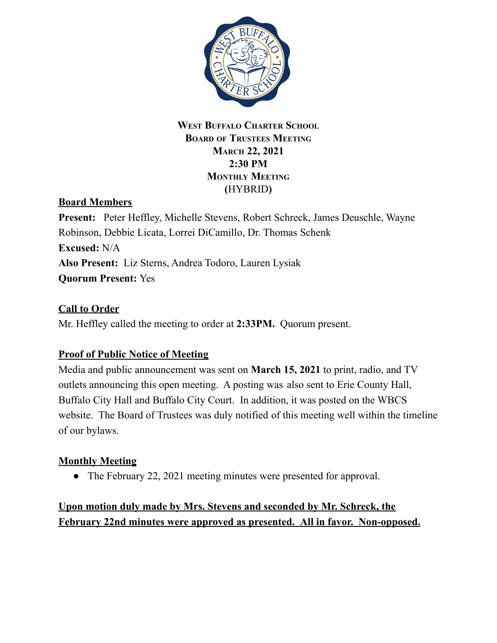

### **WEST BUFFALO CHARTER SCHOOL BOARD OF TRUSTEES MEETING MARCH 22, 2021 2:30 PM MONTHLY MEETING (**HYBRID**)**

# **Board Members**

**Present:** Peter Heffley, Michelle Stevens, Robert Schreck, James Deuschle, Wayne Robinson, Debbie Licata, Lorrei DiCamillo, Dr. Thomas Schenk **Excused:** N/A **Also Present:** Liz Sterns, Andrea Todoro, Lauren Lysiak **Quorum Present:** Yes

## **Call to Order**

Mr. Heffley called the meeting to order at **2:33PM.** Quorum present.

# **Proof of Public Notice of Meeting**

Media and public announcement was sent on **March 15, 2021** to print, radio, and TV outlets announcing this open meeting. A posting was also sent to Erie County Hall, Buffalo City Hall and Buffalo City Court. In addition, it was posted on the WBCS website. The Board of Trustees was duly notified of this meeting well within the timeline of our bylaws.

### **Monthly Meeting**

• The February 22, 2021 meeting minutes were presented for approval.

# **Upon motion duly made by Mrs. Stevens and seconded by Mr. Schreck, the February 22nd minutes were approved as presented. All in favor. Non-opposed.**